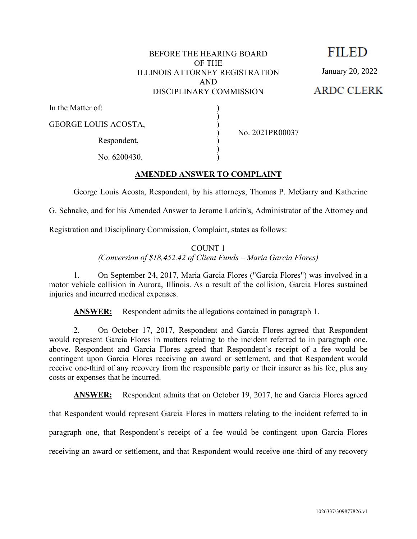### BEFORE THE HEARING BOARD OF THE ILLINOIS ATTORNEY REGISTRATION AND DISCIPLINARY COMMISSION

) ) ) ) ) ) )

No. 2021PR00037

**FILED** 

January 20, 2022

**ARDC CLERK** 

In the Matter of:

GEORGE LOUIS ACOSTA,

Respondent,

No. 6200430.

# **AMENDED ANSWER TO COMPLAINT**

George Louis Acosta, Respondent, by his attorneys, Thomas P. McGarry and Katherine

G. Schnake, and for his Amended Answer to Jerome Larkin's, Administrator of the Attorney and

Registration and Disciplinary Commission, Complaint, states as follows:

COUNT 1 *(Conversion of \$18,452.42 of Client Funds – Maria Garcia Flores)*

1. On September 24, 2017, Maria Garcia Flores ("Garcia Flores") was involved in a motor vehicle collision in Aurora, Illinois. As a result of the collision, Garcia Flores sustained injuries and incurred medical expenses.

**ANSWER:** Respondent admits the allegations contained in paragraph 1.

2. On October 17, 2017, Respondent and Garcia Flores agreed that Respondent would represent Garcia Flores in matters relating to the incident referred to in paragraph one, above. Respondent and Garcia Flores agreed that Respondent's receipt of a fee would be contingent upon Garcia Flores receiving an award or settlement, and that Respondent would receive one-third of any recovery from the responsible party or their insurer as his fee, plus any costs or expenses that he incurred.

**ANSWER:** Respondent admits that on October 19, 2017, he and Garcia Flores agreed

that Respondent would represent Garcia Flores in matters relating to the incident referred to in

paragraph one, that Respondent's receipt of a fee would be contingent upon Garcia Flores

receiving an award or settlement, and that Respondent would receive one-third of any recovery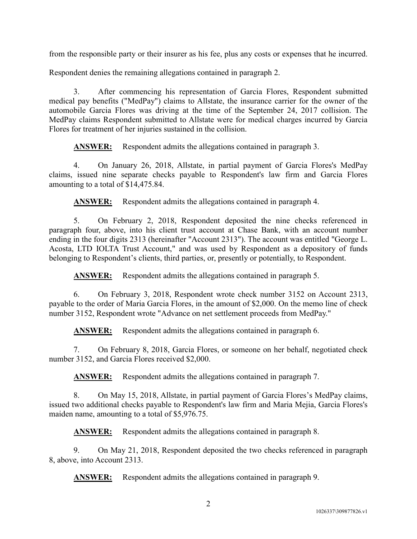from the responsible party or their insurer as his fee, plus any costs or expenses that he incurred.

Respondent denies the remaining allegations contained in paragraph 2.

3. After commencing his representation of Garcia Flores, Respondent submitted medical pay benefits ("MedPay") claims to Allstate, the insurance carrier for the owner of the automobile Garcia Flores was driving at the time of the September 24, 2017 collision. The MedPay claims Respondent submitted to Allstate were for medical charges incurred by Garcia Flores for treatment of her injuries sustained in the collision.

**ANSWER:** Respondent admits the allegations contained in paragraph 3.

4. On January 26, 2018, Allstate, in partial payment of Garcia Flores's MedPay claims, issued nine separate checks payable to Respondent's law firm and Garcia Flores amounting to a total of \$14,475.84.

**ANSWER:** Respondent admits the allegations contained in paragraph 4.

5. On February 2, 2018, Respondent deposited the nine checks referenced in paragraph four, above, into his client trust account at Chase Bank, with an account number ending in the four digits 2313 (hereinafter "Account 2313"). The account was entitled "George L. Acosta, LTD IOLTA Trust Account," and was used by Respondent as a depository of funds belonging to Respondent's clients, third parties, or, presently or potentially, to Respondent.

**ANSWER:** Respondent admits the allegations contained in paragraph 5.

6. On February 3, 2018, Respondent wrote check number 3152 on Account 2313, payable to the order of Maria Garcia Flores, in the amount of \$2,000. On the memo line of check number 3152, Respondent wrote "Advance on net settlement proceeds from MedPay."

**ANSWER:** Respondent admits the allegations contained in paragraph 6.

7. On February 8, 2018, Garcia Flores, or someone on her behalf, negotiated check number 3152, and Garcia Flores received \$2,000.

**ANSWER:** Respondent admits the allegations contained in paragraph 7.

8. On May 15, 2018, Allstate, in partial payment of Garcia Flores's MedPay claims, issued two additional checks payable to Respondent's law firm and Maria Mejia, Garcia Flores's maiden name, amounting to a total of \$5,976.75.

**ANSWER:** Respondent admits the allegations contained in paragraph 8.

9. On May 21, 2018, Respondent deposited the two checks referenced in paragraph 8, above, into Account 2313.

**ANSWER:** Respondent admits the allegations contained in paragraph 9.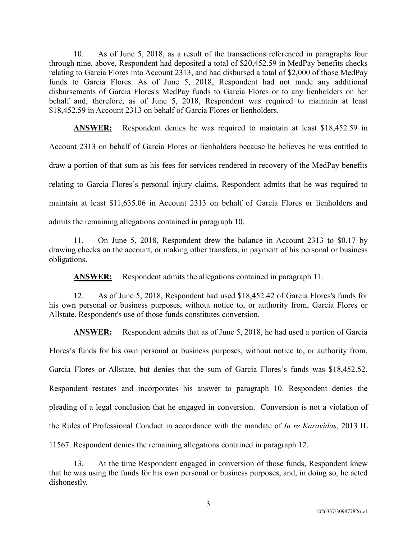10. As of June 5, 2018, as a result of the transactions referenced in paragraphs four through nine, above, Respondent had deposited a total of \$20,452.59 in MedPay benefits checks relating to Garcia Flores into Account 2313, and had disbursed a total of \$2,000 of those MedPay funds to Garcia Flores. As of June 5, 2018, Respondent had not made any additional disbursements of Garcia Flores's MedPay funds to Garcia Flores or to any lienholders on her behalf and, therefore, as of June 5, 2018, Respondent was required to maintain at least \$18,452.59 in Account 2313 on behalf of Garcia Flores or lienholders.

**ANSWER:** Respondent denies he was required to maintain at least \$18,452.59 in Account 2313 on behalf of Garcia Flores or lienholders because he believes he was entitled to draw a portion of that sum as his fees for services rendered in recovery of the MedPay benefits relating to Garcia Flores's personal injury claims. Respondent admits that he was required to maintain at least \$11,635.06 in Account 2313 on behalf of Garcia Flores or lienholders and admits the remaining allegations contained in paragraph 10.

11. On June 5, 2018, Respondent drew the balance in Account 2313 to \$0.17 by drawing checks on the account, or making other transfers, in payment of his personal or business obligations.

ANSWER: Respondent admits the allegations contained in paragraph 11.

12. As of June 5, 2018, Respondent had used \$18,452.42 of Garcia Flores's funds for his own personal or business purposes, without notice to, or authority from, Garcia Flores or Allstate. Respondent's use of those funds constitutes conversion.

**ANSWER:** Respondent admits that as of June 5, 2018, he had used a portion of Garcia Flores's funds for his own personal or business purposes, without notice to, or authority from, Garcia Flores or Allstate, but denies that the sum of Garcia Flores's funds was \$18,452.52. Respondent restates and incorporates his answer to paragraph 10. Respondent denies the pleading of a legal conclusion that he engaged in conversion. Conversion is not a violation of the Rules of Professional Conduct in accordance with the mandate of *In re Karavidas*, 2013 IL 11567. Respondent denies the remaining allegations contained in paragraph 12.

13. At the time Respondent engaged in conversion of those funds, Respondent knew that he was using the funds for his own personal or business purposes, and, in doing so, he acted dishonestly.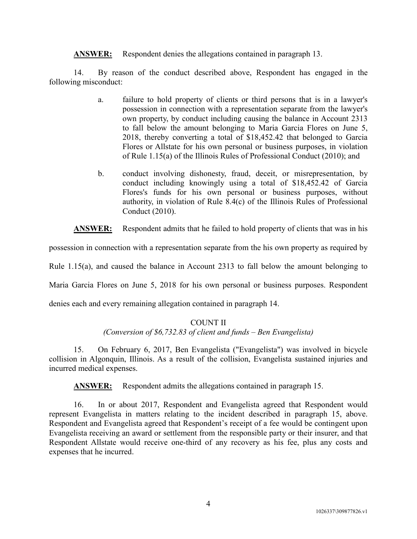**ANSWER:** Respondent denies the allegations contained in paragraph 13.

14. By reason of the conduct described above, Respondent has engaged in the following misconduct:

- a. failure to hold property of clients or third persons that is in a lawyer's possession in connection with a representation separate from the lawyer's own property, by conduct including causing the balance in Account 2313 to fall below the amount belonging to Maria Garcia Flores on June 5, 2018, thereby converting a total of \$18,452.42 that belonged to Garcia Flores or Allstate for his own personal or business purposes, in violation of Rule 1.15(a) of the Illinois Rules of Professional Conduct (2010); and
- b. conduct involving dishonesty, fraud, deceit, or misrepresentation, by conduct including knowingly using a total of \$18,452.42 of Garcia Flores's funds for his own personal or business purposes, without authority, in violation of Rule 8.4(c) of the Illinois Rules of Professional Conduct (2010).

**ANSWER:** Respondent admits that he failed to hold property of clients that was in his

possession in connection with a representation separate from the his own property as required by

Rule 1.15(a), and caused the balance in Account 2313 to fall below the amount belonging to

Maria Garcia Flores on June 5, 2018 for his own personal or business purposes. Respondent

denies each and every remaining allegation contained in paragraph 14.

# COUNT II

# *(Conversion of \$6,732.83 of client and funds – Ben Evangelista)*

15. On February 6, 2017, Ben Evangelista ("Evangelista") was involved in bicycle collision in Algonquin, Illinois. As a result of the collision, Evangelista sustained injuries and incurred medical expenses.

**ANSWER:** Respondent admits the allegations contained in paragraph 15.

16. In or about 2017, Respondent and Evangelista agreed that Respondent would represent Evangelista in matters relating to the incident described in paragraph 15, above. Respondent and Evangelista agreed that Respondent's receipt of a fee would be contingent upon Evangelista receiving an award or settlement from the responsible party or their insurer, and that Respondent Allstate would receive one-third of any recovery as his fee, plus any costs and expenses that he incurred.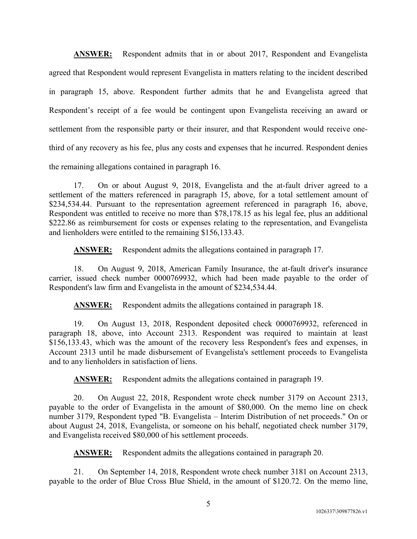**ANSWER:** Respondent admits that in or about 2017, Respondent and Evangelista agreed that Respondent would represent Evangelista in matters relating to the incident described in paragraph 15, above. Respondent further admits that he and Evangelista agreed that Respondent's receipt of a fee would be contingent upon Evangelista receiving an award or settlement from the responsible party or their insurer, and that Respondent would receive onethird of any recovery as his fee, plus any costs and expenses that he incurred. Respondent denies the remaining allegations contained in paragraph 16.

17. On or about August 9, 2018, Evangelista and the at-fault driver agreed to a settlement of the matters referenced in paragraph 15, above, for a total settlement amount of \$234,534.44. Pursuant to the representation agreement referenced in paragraph 16, above, Respondent was entitled to receive no more than \$78,178.15 as his legal fee, plus an additional \$222.86 as reimbursement for costs or expenses relating to the representation, and Evangelista and lienholders were entitled to the remaining \$156,133.43.

**ANSWER:** Respondent admits the allegations contained in paragraph 17.

18. On August 9, 2018, American Family Insurance, the at-fault driver's insurance carrier, issued check number 0000769932, which had been made payable to the order of Respondent's law firm and Evangelista in the amount of \$234,534.44.

**ANSWER:** Respondent admits the allegations contained in paragraph 18.

19. On August 13, 2018, Respondent deposited check 0000769932, referenced in paragraph 18, above, into Account 2313. Respondent was required to maintain at least \$156,133.43, which was the amount of the recovery less Respondent's fees and expenses, in Account 2313 until he made disbursement of Evangelista's settlement proceeds to Evangelista and to any lienholders in satisfaction of liens.

**ANSWER:** Respondent admits the allegations contained in paragraph 19.

20. On August 22, 2018, Respondent wrote check number 3179 on Account 2313, payable to the order of Evangelista in the amount of \$80,000. On the memo line on check number 3179, Respondent typed "B. Evangelista – Interim Distribution of net proceeds." On or about August 24, 2018, Evangelista, or someone on his behalf, negotiated check number 3179, and Evangelista received \$80,000 of his settlement proceeds.

**ANSWER:** Respondent admits the allegations contained in paragraph 20.

21. On September 14, 2018, Respondent wrote check number 3181 on Account 2313, payable to the order of Blue Cross Blue Shield, in the amount of \$120.72. On the memo line,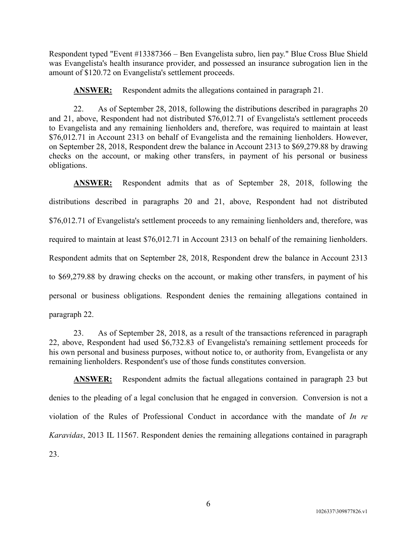Respondent typed "Event #13387366 – Ben Evangelista subro, lien pay." Blue Cross Blue Shield was Evangelista's health insurance provider, and possessed an insurance subrogation lien in the amount of \$120.72 on Evangelista's settlement proceeds.

**ANSWER:** Respondent admits the allegations contained in paragraph 21.

22. As of September 28, 2018, following the distributions described in paragraphs 20 and 21, above, Respondent had not distributed \$76,012.71 of Evangelista's settlement proceeds to Evangelista and any remaining lienholders and, therefore, was required to maintain at least \$76,012.71 in Account 2313 on behalf of Evangelista and the remaining lienholders. However, on September 28, 2018, Respondent drew the balance in Account 2313 to \$69,279.88 by drawing checks on the account, or making other transfers, in payment of his personal or business obligations.

**ANSWER:** Respondent admits that as of September 28, 2018, following the distributions described in paragraphs 20 and 21, above, Respondent had not distributed \$76,012.71 of Evangelista's settlement proceeds to any remaining lienholders and, therefore, was required to maintain at least \$76,012.71 in Account 2313 on behalf of the remaining lienholders. Respondent admits that on September 28, 2018, Respondent drew the balance in Account 2313 to \$69,279.88 by drawing checks on the account, or making other transfers, in payment of his personal or business obligations. Respondent denies the remaining allegations contained in paragraph 22.

23. As of September 28, 2018, as a result of the transactions referenced in paragraph 22, above, Respondent had used \$6,732.83 of Evangelista's remaining settlement proceeds for his own personal and business purposes, without notice to, or authority from, Evangelista or any remaining lienholders. Respondent's use of those funds constitutes conversion.

**ANSWER:** Respondent admits the factual allegations contained in paragraph 23 but denies to the pleading of a legal conclusion that he engaged in conversion. Conversion is not a violation of the Rules of Professional Conduct in accordance with the mandate of *In re Karavidas*, 2013 IL 11567. Respondent denies the remaining allegations contained in paragraph 23.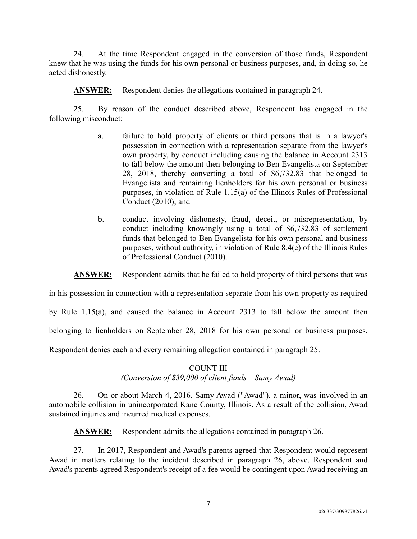24. At the time Respondent engaged in the conversion of those funds, Respondent knew that he was using the funds for his own personal or business purposes, and, in doing so, he acted dishonestly.

**ANSWER:** Respondent denies the allegations contained in paragraph 24.

25. By reason of the conduct described above, Respondent has engaged in the following misconduct:

- a. failure to hold property of clients or third persons that is in a lawyer's possession in connection with a representation separate from the lawyer's own property, by conduct including causing the balance in Account 2313 to fall below the amount then belonging to Ben Evangelista on September 28, 2018, thereby converting a total of \$6,732.83 that belonged to Evangelista and remaining lienholders for his own personal or business purposes, in violation of Rule 1.15(a) of the Illinois Rules of Professional Conduct (2010); and
- b. conduct involving dishonesty, fraud, deceit, or misrepresentation, by conduct including knowingly using a total of \$6,732.83 of settlement funds that belonged to Ben Evangelista for his own personal and business purposes, without authority, in violation of Rule 8.4(c) of the Illinois Rules of Professional Conduct (2010).

**ANSWER:** Respondent admits that he failed to hold property of third persons that was

in his possession in connection with a representation separate from his own property as required

by Rule 1.15(a), and caused the balance in Account 2313 to fall below the amount then

belonging to lienholders on September 28, 2018 for his own personal or business purposes.

Respondent denies each and every remaining allegation contained in paragraph 25.

# COUNT III *(Conversion of \$39,000 of client funds – Samy Awad)*

26. On or about March 4, 2016, Samy Awad ("Awad"), a minor, was involved in an automobile collision in unincorporated Kane County, Illinois. As a result of the collision, Awad sustained injuries and incurred medical expenses.

**ANSWER:** Respondent admits the allegations contained in paragraph 26.

27. In 2017, Respondent and Awad's parents agreed that Respondent would represent Awad in matters relating to the incident described in paragraph 26, above. Respondent and Awad's parents agreed Respondent's receipt of a fee would be contingent upon Awad receiving an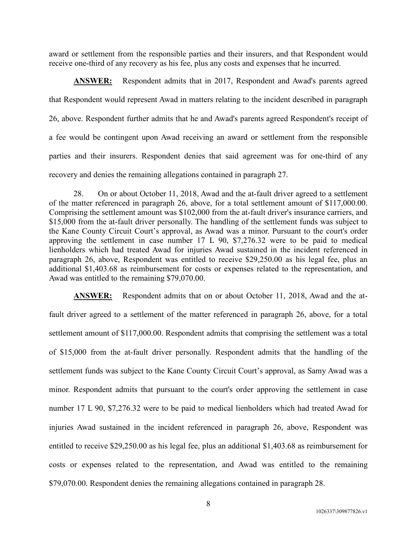award or settlement from the responsible parties and their insurers, and that Respondent would receive one-third of any recovery as his fee, plus any costs and expenses that he incurred.

**ANSWER:** Respondent admits that in 2017, Respondent and Awad's parents agreed that Respondent would represent Awad in matters relating to the incident described in paragraph 26, above. Respondent further admits that he and Awad's parents agreed Respondent's receipt of a fee would be contingent upon Awad receiving an award or settlement from the responsible parties and their insurers. Respondent denies that said agreement was for one-third of any recovery and denies the remaining allegations contained in paragraph 27.

28. On or about October 11, 2018, Awad and the at-fault driver agreed to a settlement of the matter referenced in paragraph 26, above, for a total settlement amount of \$117,000.00. Comprising the settlement amount was \$102,000 from the at-fault driver's insurance carriers, and \$15,000 from the at-fault driver personally. The handling of the settlement funds was subject to the Kane County Circuit Court's approval, as Awad was a minor. Pursuant to the court's order approving the settlement in case number 17 L 90, \$7,276.32 were to be paid to medical lienholders which had treated Awad for injuries Awad sustained in the incident referenced in paragraph 26, above, Respondent was entitled to receive \$29,250.00 as his legal fee, plus an additional \$1,403.68 as reimbursement for costs or expenses related to the representation, and Awad was entitled to the remaining \$79,070.00.

**ANSWER:** Respondent admits that on or about October 11, 2018, Awad and the atfault driver agreed to a settlement of the matter referenced in paragraph 26, above, for a total settlement amount of \$117,000.00. Respondent admits that comprising the settlement was a total of \$15,000 from the at-fault driver personally. Respondent admits that the handling of the settlement funds was subject to the Kane County Circuit Court's approval, as Samy Awad was a minor. Respondent admits that pursuant to the court's order approving the settlement in case number 17 L 90, \$7,276.32 were to be paid to medical lienholders which had treated Awad for injuries Awad sustained in the incident referenced in paragraph 26, above, Respondent was entitled to receive \$29,250.00 as his legal fee, plus an additional \$1,403.68 as reimbursement for costs or expenses related to the representation, and Awad was entitled to the remaining \$79,070.00. Respondent denies the remaining allegations contained in paragraph 28.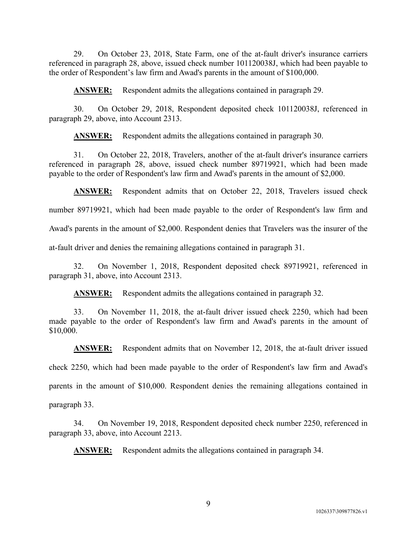29. On October 23, 2018, State Farm, one of the at-fault driver's insurance carriers referenced in paragraph 28, above, issued check number 101120038J, which had been payable to the order of Respondent's law firm and Awad's parents in the amount of \$100,000.

**ANSWER:** Respondent admits the allegations contained in paragraph 29.

30. On October 29, 2018, Respondent deposited check 101120038J, referenced in paragraph 29, above, into Account 2313.

**ANSWER:** Respondent admits the allegations contained in paragraph 30.

31. On October 22, 2018, Travelers, another of the at-fault driver's insurance carriers referenced in paragraph 28, above, issued check number 89719921, which had been made payable to the order of Respondent's law firm and Awad's parents in the amount of \$2,000.

**ANSWER:** Respondent admits that on October 22, 2018, Travelers issued check number 89719921, which had been made payable to the order of Respondent's law firm and

Awad's parents in the amount of \$2,000. Respondent denies that Travelers was the insurer of the

at-fault driver and denies the remaining allegations contained in paragraph 31.

32. On November 1, 2018, Respondent deposited check 89719921, referenced in paragraph 31, above, into Account 2313.

**ANSWER:** Respondent admits the allegations contained in paragraph 32.

33. On November 11, 2018, the at-fault driver issued check 2250, which had been made payable to the order of Respondent's law firm and Awad's parents in the amount of \$10,000.

**ANSWER:** Respondent admits that on November 12, 2018, the at-fault driver issued check 2250, which had been made payable to the order of Respondent's law firm and Awad's parents in the amount of \$10,000. Respondent denies the remaining allegations contained in paragraph 33.

34. On November 19, 2018, Respondent deposited check number 2250, referenced in paragraph 33, above, into Account 2213.

**ANSWER:** Respondent admits the allegations contained in paragraph 34.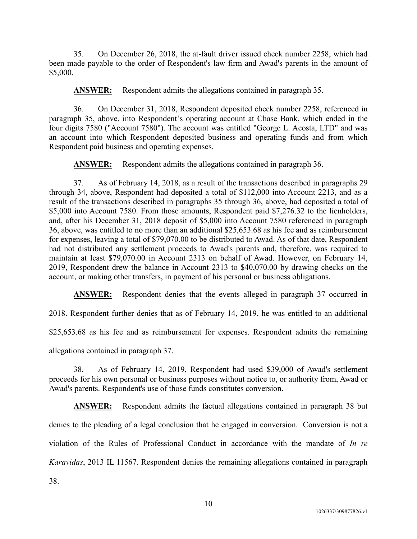35. On December 26, 2018, the at-fault driver issued check number 2258, which had been made payable to the order of Respondent's law firm and Awad's parents in the amount of \$5,000.

**ANSWER:** Respondent admits the allegations contained in paragraph 35.

36. On December 31, 2018, Respondent deposited check number 2258, referenced in paragraph 35, above, into Respondent's operating account at Chase Bank, which ended in the four digits 7580 ("Account 7580"). The account was entitled "George L. Acosta, LTD" and was an account into which Respondent deposited business and operating funds and from which Respondent paid business and operating expenses.

**ANSWER:** Respondent admits the allegations contained in paragraph 36.

37. As of February 14, 2018, as a result of the transactions described in paragraphs 29 through 34, above, Respondent had deposited a total of \$112,000 into Account 2213, and as a result of the transactions described in paragraphs 35 through 36, above, had deposited a total of \$5,000 into Account 7580. From those amounts, Respondent paid \$7,276.32 to the lienholders, and, after his December 31, 2018 deposit of \$5,000 into Account 7580 referenced in paragraph 36, above, was entitled to no more than an additional \$25,653.68 as his fee and as reimbursement for expenses, leaving a total of \$79,070.00 to be distributed to Awad. As of that date, Respondent had not distributed any settlement proceeds to Awad's parents and, therefore, was required to maintain at least \$79,070.00 in Account 2313 on behalf of Awad. However, on February 14, 2019, Respondent drew the balance in Account 2313 to \$40,070.00 by drawing checks on the account, or making other transfers, in payment of his personal or business obligations.

**ANSWER:** Respondent denies that the events alleged in paragraph 37 occurred in

2018. Respondent further denies that as of February 14, 2019, he was entitled to an additional

\$25,653.68 as his fee and as reimbursement for expenses. Respondent admits the remaining

allegations contained in paragraph 37.

38. As of February 14, 2019, Respondent had used \$39,000 of Awad's settlement proceeds for his own personal or business purposes without notice to, or authority from, Awad or Awad's parents. Respondent's use of those funds constitutes conversion.

**ANSWER:** Respondent admits the factual allegations contained in paragraph 38 but denies to the pleading of a legal conclusion that he engaged in conversion. Conversion is not a violation of the Rules of Professional Conduct in accordance with the mandate of *In re Karavidas*, 2013 IL 11567. Respondent denies the remaining allegations contained in paragraph

38.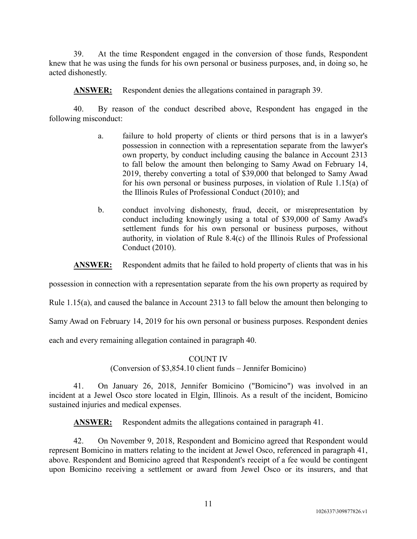39. At the time Respondent engaged in the conversion of those funds, Respondent knew that he was using the funds for his own personal or business purposes, and, in doing so, he acted dishonestly.

**ANSWER:** Respondent denies the allegations contained in paragraph 39.

40. By reason of the conduct described above, Respondent has engaged in the following misconduct:

- a. failure to hold property of clients or third persons that is in a lawyer's possession in connection with a representation separate from the lawyer's own property, by conduct including causing the balance in Account 2313 to fall below the amount then belonging to Samy Awad on February 14, 2019, thereby converting a total of \$39,000 that belonged to Samy Awad for his own personal or business purposes, in violation of Rule 1.15(a) of the Illinois Rules of Professional Conduct (2010); and
- b. conduct involving dishonesty, fraud, deceit, or misrepresentation by conduct including knowingly using a total of \$39,000 of Samy Awad's settlement funds for his own personal or business purposes, without authority, in violation of Rule 8.4(c) of the Illinois Rules of Professional Conduct (2010).

**ANSWER:** Respondent admits that he failed to hold property of clients that was in his

possession in connection with a representation separate from the his own property as required by

Rule 1.15(a), and caused the balance in Account 2313 to fall below the amount then belonging to

Samy Awad on February 14, 2019 for his own personal or business purposes. Respondent denies

each and every remaining allegation contained in paragraph 40.

#### COUNT IV

(Conversion of \$3,854.10 client funds – Jennifer Bomicino)

41. On January 26, 2018, Jennifer Bomicino ("Bomicino") was involved in an incident at a Jewel Osco store located in Elgin, Illinois. As a result of the incident, Bomicino sustained injuries and medical expenses.

**ANSWER:** Respondent admits the allegations contained in paragraph 41.

42. On November 9, 2018, Respondent and Bomicino agreed that Respondent would represent Bomicino in matters relating to the incident at Jewel Osco, referenced in paragraph 41, above. Respondent and Bomicino agreed that Respondent's receipt of a fee would be contingent upon Bomicino receiving a settlement or award from Jewel Osco or its insurers, and that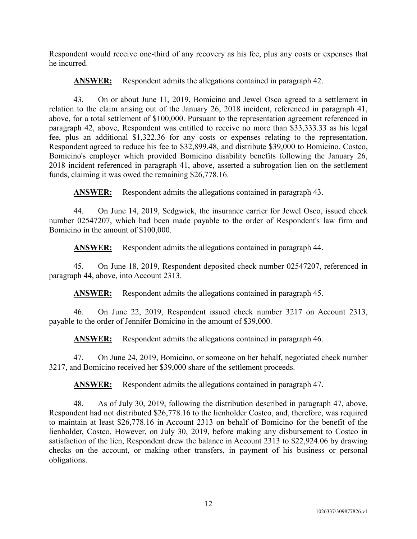Respondent would receive one-third of any recovery as his fee, plus any costs or expenses that he incurred.

**ANSWER:** Respondent admits the allegations contained in paragraph 42.

43. On or about June 11, 2019, Bomicino and Jewel Osco agreed to a settlement in relation to the claim arising out of the January 26, 2018 incident, referenced in paragraph 41, above, for a total settlement of \$100,000. Pursuant to the representation agreement referenced in paragraph 42, above, Respondent was entitled to receive no more than \$33,333.33 as his legal fee, plus an additional \$1,322.36 for any costs or expenses relating to the representation. Respondent agreed to reduce his fee to \$32,899.48, and distribute \$39,000 to Bomicino. Costco, Bomicino's employer which provided Bomicino disability benefits following the January 26, 2018 incident referenced in paragraph 41, above, asserted a subrogation lien on the settlement funds, claiming it was owed the remaining \$26,778.16.

**ANSWER:** Respondent admits the allegations contained in paragraph 43.

44. On June 14, 2019, Sedgwick, the insurance carrier for Jewel Osco, issued check number 02547207, which had been made payable to the order of Respondent's law firm and Bomicino in the amount of \$100,000.

**ANSWER:** Respondent admits the allegations contained in paragraph 44.

45. On June 18, 2019, Respondent deposited check number 02547207, referenced in paragraph 44, above, into Account 2313.

**ANSWER:** Respondent admits the allegations contained in paragraph 45.

46. On June 22, 2019, Respondent issued check number 3217 on Account 2313, payable to the order of Jennifer Bomicino in the amount of \$39,000.

**ANSWER:** Respondent admits the allegations contained in paragraph 46.

47. On June 24, 2019, Bomicino, or someone on her behalf, negotiated check number 3217, and Bomicino received her \$39,000 share of the settlement proceeds.

**ANSWER:** Respondent admits the allegations contained in paragraph 47.

48. As of July 30, 2019, following the distribution described in paragraph 47, above, Respondent had not distributed \$26,778.16 to the lienholder Costco, and, therefore, was required to maintain at least \$26,778.16 in Account 2313 on behalf of Bomicino for the benefit of the lienholder, Costco. However, on July 30, 2019, before making any disbursement to Costco in satisfaction of the lien, Respondent drew the balance in Account 2313 to \$22,924.06 by drawing checks on the account, or making other transfers, in payment of his business or personal obligations.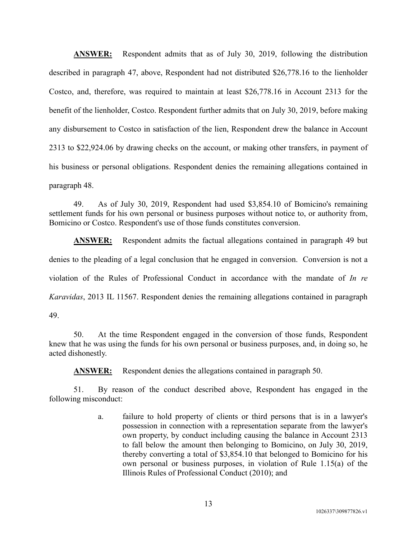**ANSWER:** Respondent admits that as of July 30, 2019, following the distribution described in paragraph 47, above, Respondent had not distributed \$26,778.16 to the lienholder Costco, and, therefore, was required to maintain at least \$26,778.16 in Account 2313 for the benefit of the lienholder, Costco. Respondent further admits that on July 30, 2019, before making any disbursement to Costco in satisfaction of the lien, Respondent drew the balance in Account 2313 to \$22,924.06 by drawing checks on the account, or making other transfers, in payment of his business or personal obligations. Respondent denies the remaining allegations contained in paragraph 48.

49. As of July 30, 2019, Respondent had used \$3,854.10 of Bomicino's remaining settlement funds for his own personal or business purposes without notice to, or authority from, Bomicino or Costco. Respondent's use of those funds constitutes conversion.

**ANSWER:** Respondent admits the factual allegations contained in paragraph 49 but denies to the pleading of a legal conclusion that he engaged in conversion. Conversion is not a violation of the Rules of Professional Conduct in accordance with the mandate of *In re Karavidas*, 2013 IL 11567. Respondent denies the remaining allegations contained in paragraph 49.

50. At the time Respondent engaged in the conversion of those funds, Respondent knew that he was using the funds for his own personal or business purposes, and, in doing so, he acted dishonestly.

**ANSWER:** Respondent denies the allegations contained in paragraph 50.

51. By reason of the conduct described above, Respondent has engaged in the following misconduct:

> a. failure to hold property of clients or third persons that is in a lawyer's possession in connection with a representation separate from the lawyer's own property, by conduct including causing the balance in Account 2313 to fall below the amount then belonging to Bomicino, on July 30, 2019, thereby converting a total of \$3,854.10 that belonged to Bomicino for his own personal or business purposes, in violation of Rule 1.15(a) of the Illinois Rules of Professional Conduct (2010); and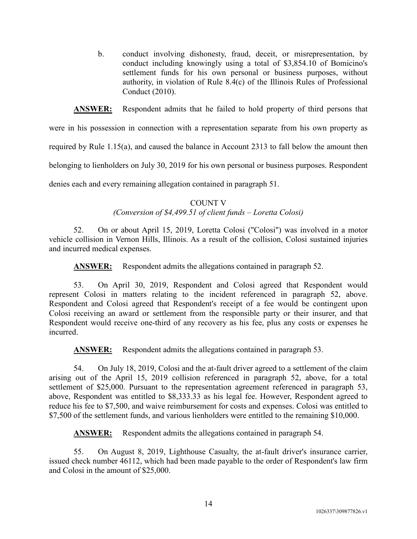b. conduct involving dishonesty, fraud, deceit, or misrepresentation, by conduct including knowingly using a total of \$3,854.10 of Bomicino's settlement funds for his own personal or business purposes, without authority, in violation of Rule 8.4(c) of the Illinois Rules of Professional Conduct (2010).

**ANSWER:** Respondent admits that he failed to hold property of third persons that

were in his possession in connection with a representation separate from his own property as

required by Rule 1.15(a), and caused the balance in Account 2313 to fall below the amount then

belonging to lienholders on July 30, 2019 for his own personal or business purposes. Respondent

denies each and every remaining allegation contained in paragraph 51.

### COUNT V *(Conversion of \$4,499.51 of client funds – Loretta Colosi)*

52. On or about April 15, 2019, Loretta Colosi ("Colosi") was involved in a motor vehicle collision in Vernon Hills, Illinois. As a result of the collision, Colosi sustained injuries and incurred medical expenses.

**ANSWER:** Respondent admits the allegations contained in paragraph 52.

53. On April 30, 2019, Respondent and Colosi agreed that Respondent would represent Colosi in matters relating to the incident referenced in paragraph 52, above. Respondent and Colosi agreed that Respondent's receipt of a fee would be contingent upon Colosi receiving an award or settlement from the responsible party or their insurer, and that Respondent would receive one-third of any recovery as his fee, plus any costs or expenses he incurred.

ANSWER: Respondent admits the allegations contained in paragraph 53.

54. On July 18, 2019, Colosi and the at-fault driver agreed to a settlement of the claim arising out of the April 15, 2019 collision referenced in paragraph 52, above, for a total settlement of \$25,000. Pursuant to the representation agreement referenced in paragraph 53, above, Respondent was entitled to \$8,333.33 as his legal fee. However, Respondent agreed to reduce his fee to \$7,500, and waive reimbursement for costs and expenses. Colosi was entitled to \$7,500 of the settlement funds, and various lienholders were entitled to the remaining \$10,000.

**ANSWER:** Respondent admits the allegations contained in paragraph 54.

55. On August 8, 2019, Lighthouse Casualty, the at-fault driver's insurance carrier, issued check number 46112, which had been made payable to the order of Respondent's law firm and Colosi in the amount of \$25,000.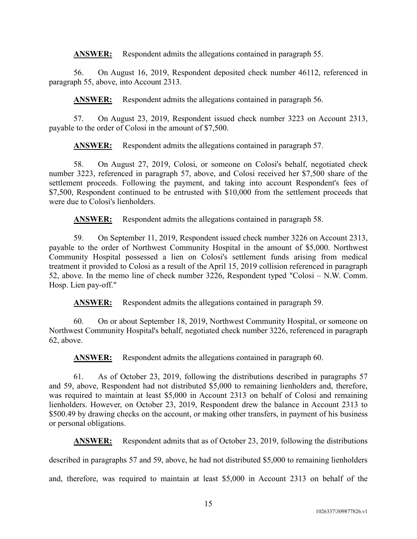**ANSWER:** Respondent admits the allegations contained in paragraph 55.

56. On August 16, 2019, Respondent deposited check number 46112, referenced in paragraph 55, above, into Account 2313.

**ANSWER:** Respondent admits the allegations contained in paragraph 56.

57. On August 23, 2019, Respondent issued check number 3223 on Account 2313, payable to the order of Colosi in the amount of \$7,500.

**ANSWER:** Respondent admits the allegations contained in paragraph 57.

58. On August 27, 2019, Colosi, or someone on Colosi's behalf, negotiated check number 3223, referenced in paragraph 57, above, and Colosi received her \$7,500 share of the settlement proceeds. Following the payment, and taking into account Respondent's fees of \$7,500, Respondent continued to be entrusted with \$10,000 from the settlement proceeds that were due to Colosi's lienholders.

**ANSWER:** Respondent admits the allegations contained in paragraph 58.

59. On September 11, 2019, Respondent issued check number 3226 on Account 2313, payable to the order of Northwest Community Hospital in the amount of \$5,000. Northwest Community Hospital possessed a lien on Colosi's settlement funds arising from medical treatment it provided to Colosi as a result of the April 15, 2019 collision referenced in paragraph 52, above. In the memo line of check number 3226, Respondent typed "Colosi – N.W. Comm. Hosp. Lien pay-off."

**ANSWER:** Respondent admits the allegations contained in paragraph 59.

60. On or about September 18, 2019, Northwest Community Hospital, or someone on Northwest Community Hospital's behalf, negotiated check number 3226, referenced in paragraph 62, above.

ANSWER: Respondent admits the allegations contained in paragraph 60.

61. As of October 23, 2019, following the distributions described in paragraphs 57 and 59, above, Respondent had not distributed \$5,000 to remaining lienholders and, therefore, was required to maintain at least \$5,000 in Account 2313 on behalf of Colosi and remaining lienholders. However, on October 23, 2019, Respondent drew the balance in Account 2313 to \$500.49 by drawing checks on the account, or making other transfers, in payment of his business or personal obligations.

**ANSWER:** Respondent admits that as of October 23, 2019, following the distributions

described in paragraphs 57 and 59, above, he had not distributed \$5,000 to remaining lienholders

and, therefore, was required to maintain at least \$5,000 in Account 2313 on behalf of the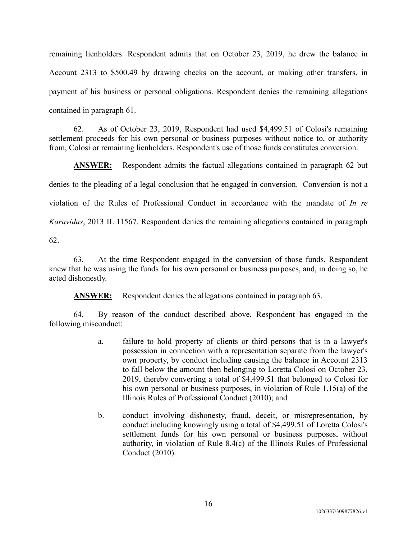remaining lienholders. Respondent admits that on October 23, 2019, he drew the balance in Account 2313 to \$500.49 by drawing checks on the account, or making other transfers, in payment of his business or personal obligations. Respondent denies the remaining allegations contained in paragraph 61.

62. As of October 23, 2019, Respondent had used \$4,499.51 of Colosi's remaining settlement proceeds for his own personal or business purposes without notice to, or authority from, Colosi or remaining lienholders. Respondent's use of those funds constitutes conversion.

**ANSWER:** Respondent admits the factual allegations contained in paragraph 62 but denies to the pleading of a legal conclusion that he engaged in conversion. Conversion is not a violation of the Rules of Professional Conduct in accordance with the mandate of *In re Karavidas*, 2013 IL 11567. Respondent denies the remaining allegations contained in paragraph 62.

63. At the time Respondent engaged in the conversion of those funds, Respondent knew that he was using the funds for his own personal or business purposes, and, in doing so, he acted dishonestly.

**ANSWER:** Respondent denies the allegations contained in paragraph 63.

64. By reason of the conduct described above, Respondent has engaged in the following misconduct:

- a. failure to hold property of clients or third persons that is in a lawyer's possession in connection with a representation separate from the lawyer's own property, by conduct including causing the balance in Account 2313 to fall below the amount then belonging to Loretta Colosi on October 23, 2019, thereby converting a total of \$4,499.51 that belonged to Colosi for his own personal or business purposes, in violation of Rule 1.15(a) of the Illinois Rules of Professional Conduct (2010); and
- b. conduct involving dishonesty, fraud, deceit, or misrepresentation, by conduct including knowingly using a total of \$4,499.51 of Loretta Colosi's settlement funds for his own personal or business purposes, without authority, in violation of Rule 8.4(c) of the Illinois Rules of Professional Conduct (2010).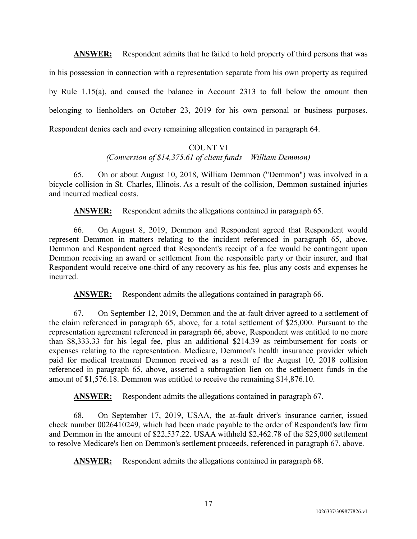**ANSWER:** Respondent admits that he failed to hold property of third persons that was in his possession in connection with a representation separate from his own property as required by Rule 1.15(a), and caused the balance in Account 2313 to fall below the amount then belonging to lienholders on October 23, 2019 for his own personal or business purposes. Respondent denies each and every remaining allegation contained in paragraph 64.

# COUNT VI

*(Conversion of \$14,375.61 of client funds – William Demmon)*

65. On or about August 10, 2018, William Demmon ("Demmon") was involved in a bicycle collision in St. Charles, Illinois. As a result of the collision, Demmon sustained injuries and incurred medical costs.

**ANSWER:** Respondent admits the allegations contained in paragraph 65.

66. On August 8, 2019, Demmon and Respondent agreed that Respondent would represent Demmon in matters relating to the incident referenced in paragraph 65, above. Demmon and Respondent agreed that Respondent's receipt of a fee would be contingent upon Demmon receiving an award or settlement from the responsible party or their insurer, and that Respondent would receive one-third of any recovery as his fee, plus any costs and expenses he incurred.

**ANSWER:** Respondent admits the allegations contained in paragraph 66.

67. On September 12, 2019, Demmon and the at-fault driver agreed to a settlement of the claim referenced in paragraph 65, above, for a total settlement of \$25,000. Pursuant to the representation agreement referenced in paragraph 66, above, Respondent was entitled to no more than \$8,333.33 for his legal fee, plus an additional \$214.39 as reimbursement for costs or expenses relating to the representation. Medicare, Demmon's health insurance provider which paid for medical treatment Demmon received as a result of the August 10, 2018 collision referenced in paragraph 65, above, asserted a subrogation lien on the settlement funds in the amount of \$1,576.18. Demmon was entitled to receive the remaining \$14,876.10.

**ANSWER:** Respondent admits the allegations contained in paragraph 67.

68. On September 17, 2019, USAA, the at-fault driver's insurance carrier, issued check number 0026410249, which had been made payable to the order of Respondent's law firm and Demmon in the amount of \$22,537.22. USAA withheld \$2,462.78 of the \$25,000 settlement to resolve Medicare's lien on Demmon's settlement proceeds, referenced in paragraph 67, above.

**ANSWER:** Respondent admits the allegations contained in paragraph 68.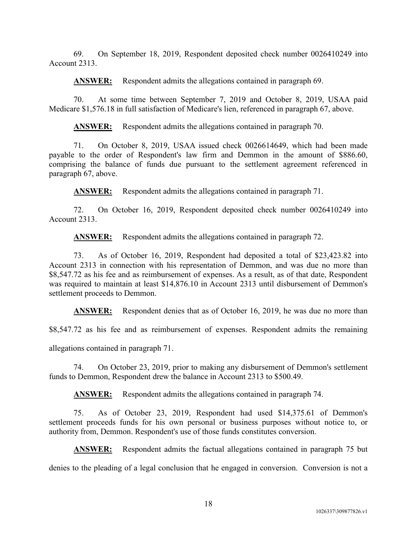69. On September 18, 2019, Respondent deposited check number 0026410249 into Account 2313.

**ANSWER:** Respondent admits the allegations contained in paragraph 69.

70. At some time between September 7, 2019 and October 8, 2019, USAA paid Medicare \$1,576.18 in full satisfaction of Medicare's lien, referenced in paragraph 67, above.

ANSWER: Respondent admits the allegations contained in paragraph 70.

71. On October 8, 2019, USAA issued check 0026614649, which had been made payable to the order of Respondent's law firm and Demmon in the amount of \$886.60, comprising the balance of funds due pursuant to the settlement agreement referenced in paragraph 67, above.

**ANSWER:** Respondent admits the allegations contained in paragraph 71.

72. On October 16, 2019, Respondent deposited check number 0026410249 into Account 2313.

**ANSWER:** Respondent admits the allegations contained in paragraph 72.

73. As of October 16, 2019, Respondent had deposited a total of \$23,423.82 into Account 2313 in connection with his representation of Demmon, and was due no more than \$8,547.72 as his fee and as reimbursement of expenses. As a result, as of that date, Respondent was required to maintain at least \$14,876.10 in Account 2313 until disbursement of Demmon's settlement proceeds to Demmon.

**ANSWER:** Respondent denies that as of October 16, 2019, he was due no more than

\$8,547.72 as his fee and as reimbursement of expenses. Respondent admits the remaining

allegations contained in paragraph 71.

74. On October 23, 2019, prior to making any disbursement of Demmon's settlement funds to Demmon, Respondent drew the balance in Account 2313 to \$500.49.

**ANSWER:** Respondent admits the allegations contained in paragraph 74.

75. As of October 23, 2019, Respondent had used \$14,375.61 of Demmon's settlement proceeds funds for his own personal or business purposes without notice to, or authority from, Demmon. Respondent's use of those funds constitutes conversion.

**ANSWER:** Respondent admits the factual allegations contained in paragraph 75 but denies to the pleading of a legal conclusion that he engaged in conversion. Conversion is not a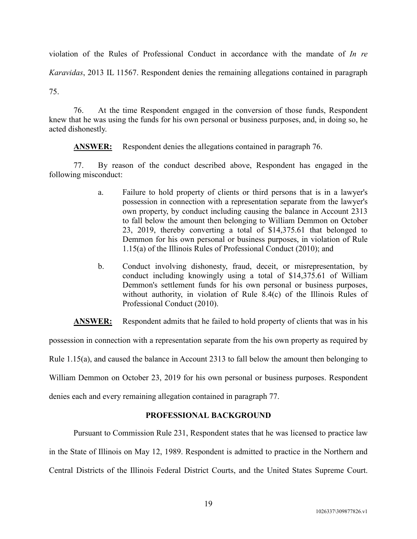violation of the Rules of Professional Conduct in accordance with the mandate of *In re Karavidas*, 2013 IL 11567. Respondent denies the remaining allegations contained in paragraph 75.

76. At the time Respondent engaged in the conversion of those funds, Respondent knew that he was using the funds for his own personal or business purposes, and, in doing so, he acted dishonestly.

**ANSWER:** Respondent denies the allegations contained in paragraph 76.

77. By reason of the conduct described above, Respondent has engaged in the following misconduct:

- a. Failure to hold property of clients or third persons that is in a lawyer's possession in connection with a representation separate from the lawyer's own property, by conduct including causing the balance in Account 2313 to fall below the amount then belonging to William Demmon on October 23, 2019, thereby converting a total of \$14,375.61 that belonged to Demmon for his own personal or business purposes, in violation of Rule 1.15(a) of the Illinois Rules of Professional Conduct (2010); and
- b. Conduct involving dishonesty, fraud, deceit, or misrepresentation, by conduct including knowingly using a total of \$14,375.61 of William Demmon's settlement funds for his own personal or business purposes, without authority, in violation of Rule 8.4(c) of the Illinois Rules of Professional Conduct (2010).

**ANSWER:** Respondent admits that he failed to hold property of clients that was in his

possession in connection with a representation separate from the his own property as required by

Rule 1.15(a), and caused the balance in Account 2313 to fall below the amount then belonging to

William Demmon on October 23, 2019 for his own personal or business purposes. Respondent

denies each and every remaining allegation contained in paragraph 77.

# **PROFESSIONAL BACKGROUND**

Pursuant to Commission Rule 231, Respondent states that he was licensed to practice law in the State of Illinois on May 12, 1989. Respondent is admitted to practice in the Northern and Central Districts of the Illinois Federal District Courts, and the United States Supreme Court.